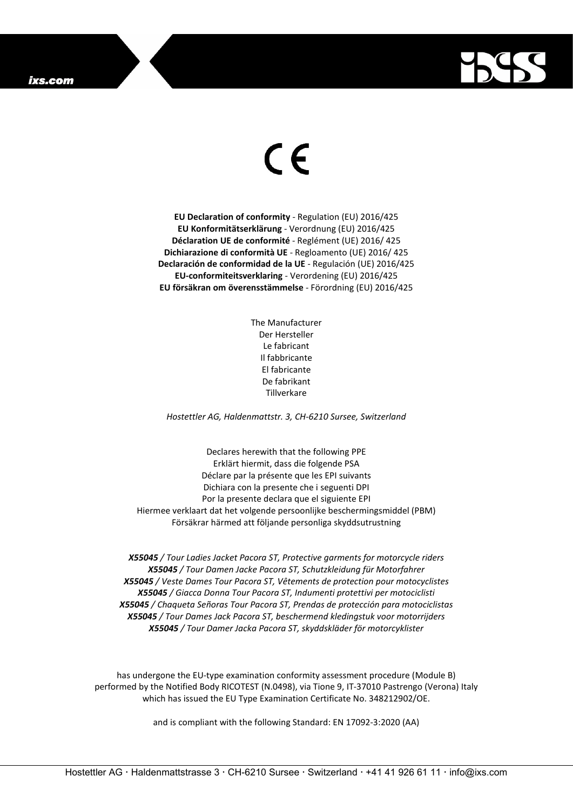## ixs.com



## $\epsilon$

**EU Declaration of conformity** - Regulation (EU) 2016/425 **EU Konformitätserklärung** - Verordnung (EU) 2016/425 **Déclaration UE de conformité** - Reglément (UE) 2016/ 425 **Dichiarazione di conformità UE** - Regloamento (UE) 2016/ 425 **Declaración de conformidad de la UE** - Regulación (UE) 2016/425 **EU-conformiteitsverklaring** - Verordening (EU) 2016/425 **EU försäkran om överensstämmelse** - Förordning (EU) 2016/425

> The Manufacturer Der Hersteller Le fabricant Il fabbricante El fabricante De fabrikant Tillverkare

*Hostettler AG, Haldenmattstr. 3, CH-6210 Sursee, Switzerland*

Declares herewith that the following PPE Erklärt hiermit, dass die folgende PSA Déclare par la présente que les EPI suivants Dichiara con la presente che i seguenti DPI Por la presente declara que el siguiente EPI Hiermee verklaart dat het volgende persoonlijke beschermingsmiddel (PBM) Försäkrar härmed att följande personliga skyddsutrustning

*X55045 / Tour Ladies Jacket Pacora ST, Protective garments for motorcycle riders X55045 / Tour Damen Jacke Pacora ST, Schutzkleidung für Motorfahrer X55045 / Veste Dames Tour Pacora ST, Vêtements de protection pour motocyclistes X55045 / Giacca Donna Tour Pacora ST, Indumenti protettivi per motociclisti X55045 / Chaqueta Señoras Tour Pacora ST, Prendas de protección para motociclistas X55045 / Tour Dames Jack Pacora ST, beschermend kledingstuk voor motorrijders X55045 / Tour Damer Jacka Pacora ST, skyddskläder för motorcyklister*

has undergone the EU-type examination conformity assessment procedure (Module B) performed by the Notified Body RICOTEST (N.0498), via Tione 9, IT-37010 Pastrengo (Verona) Italy which has issued the EU Type Examination Certificate No. 348212902/OE.

and is compliant with the following Standard: EN 17092-3:2020 (AA)